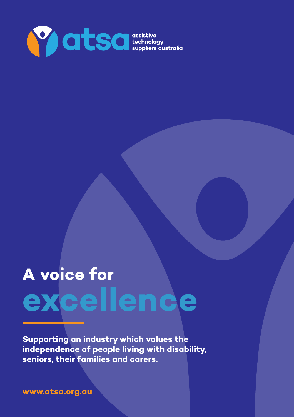

# **A voice for excellence**

**Supporting an industry which values the independence of people living with disability, seniors, their families and carers.**

**www.atsa.org.au**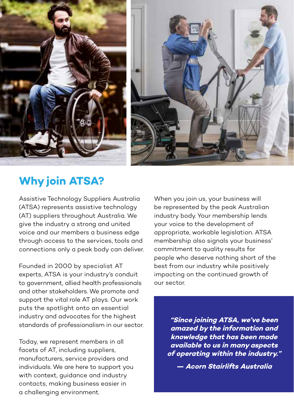



# **Why join ATSA?**

Assistive Technology Suppliers Australia (ATSA) represents assistive technology (AT) suppliers throughout Australia. We give the industry a strong and united voice and our members a business edge through access to the services, tools and connections only a peak body can deliver.

Founded in 2000 by specialist AT experts, ATSA is your industry's conduit to government, allied health professionals and other stakeholders. We promote and support the vital role AT plays. Our work puts the spotlight onto an essential industry and advocates for the highest standards of professionalism in our sector.

Today, we represent members in all facets of AT, including suppliers, manufacturers, service providers and individuals. We are here to support you with context, guidance and industry contacts, making business easier in a challenging environment.

When you join us, your business will be represented by the peak Australian industry body. Your membership lends your voice to the development of appropriate, workable legislation. ATSA membership also signals your business' commitment to quality results for people who deserve nothing short of the best from our industry while positively impacting on the continued growth of our sector.

> **"Since joining ATSA, we've been amazed by the information and knowledge that has been made available to us in many aspects of operating within the industry."**

**— Acorn Stairlifts Australia**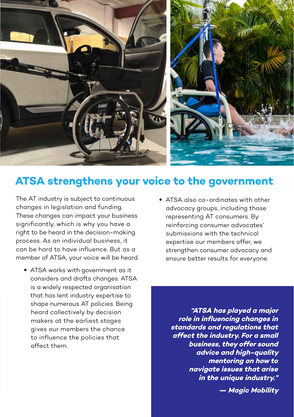

### **ATSA strengthens your voice to the government**

The AT industry is subject to continuous changes in legislation and funding. These changes can impact your business significantly, which is why you have a right to be heard in the decision-making process. As an individual business, it can be hard to have influence. But as a member of ATSA, your voice will be heard.

- ATSA works with government as it considers and drafts changes. ATSA is a widely respected organisation that has lent industry expertise to shape numerous AT policies. Being heard collectively by decision makers at the earliest stages gives our members the chance to influence the policies that affect them.
- ATSA also co-ordinates with other advocacy groups, including those representing AT consumers. By reinforcing consumer advocates' submissions with the technical expertise our members offer, we strengthen consumer advocacy and ensure better results for everyone.

**"ATSA has played a major role in infl uencing changes in standards and regulations that affect the industry. For a small business, they offer sound advice and high-quality mentoring on how to navigate issues that arise in the unique industry."**

**— Magic Mobility**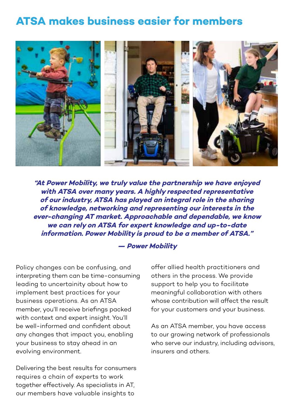### **ATSA makes business easier for members**



**"At Power Mobility, we truly value the partnership we have enjoyed with ATSA over many years. A highly respected representative of our industry, ATSA has played an integral role in the sharing of knowledge, networking and representing our interests in the ever-changing AT market. Approachable and dependable, we know we can rely on ATSA for expert knowledge and up-to-date information. Power Mobility is proud to be a member of ATSA."** 

#### **— Power Mobility**

Policy changes can be confusing, and interpreting them can be time-consuming leading to uncertainity about how to implement best practices for your business operations. As an ATSA member, you'll receive briefings packed with context and expert insight. You'll be well-informed and confident about any changes that impact you, enabling your business to stay ahead in an evolving environment.

Delivering the best results for consumers requires a chain of experts to work together effectively. As specialists in AT, our members have valuable insights to

offer allied health practitioners and others in the process. We provide support to help you to facilitate meaningful collaboration with others whose contribution will affect the result for your customers and your business.

As an ATSA member, you have access to our growing network of professionals who serve our industry, including advisors, insurers and others.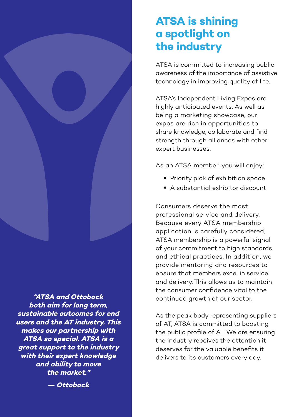## **ATSA is shining a spotlight on the industry**

ATSA is committed to increasing public awareness of the importance of assistive technology in improving quality of life.

ATSA's Independent Living Expos are highly anticipated events. As well as being a marketing showcase, our expos are rich in opportunities to share knowledge, collaborate and find strength through alliances with other expert businesses.

As an ATSA member, you will enjoy:

- Priority pick of exhibition space
- A substantial exhibitor discount

Consumers deserve the most professional service and delivery. Because every ATSA membership application is carefully considered, ATSA membership is a powerful signal of your commitment to high standards and ethical practices. In addition, we provide mentoring and resources to ensure that members excel in service and delivery. This allows us to maintain the consumer confidence vital to the continued growth of our sector.

As the peak body representing suppliers of AT, ATSA is committed to boosting the public profile of AT. We are ensuring the industry receives the attention it deserves for the valuable benefits it delivers to its customers every day.

**"ATSA and Ottobock "ATSA and Ottobock both aim for long term, sustainable outcomes for end both aim for long term,sustainable outcomes for users and the AT industry. This users and the AT industry. This makes our partnership with makes our partnership with ATSA so special. ATSA is a ATSA so special. ATSA is a great support to the industry with their expert knowledge industry their knowledge and ability to move and ability move the market." the market."**

**— Ottobock — Ottobock**